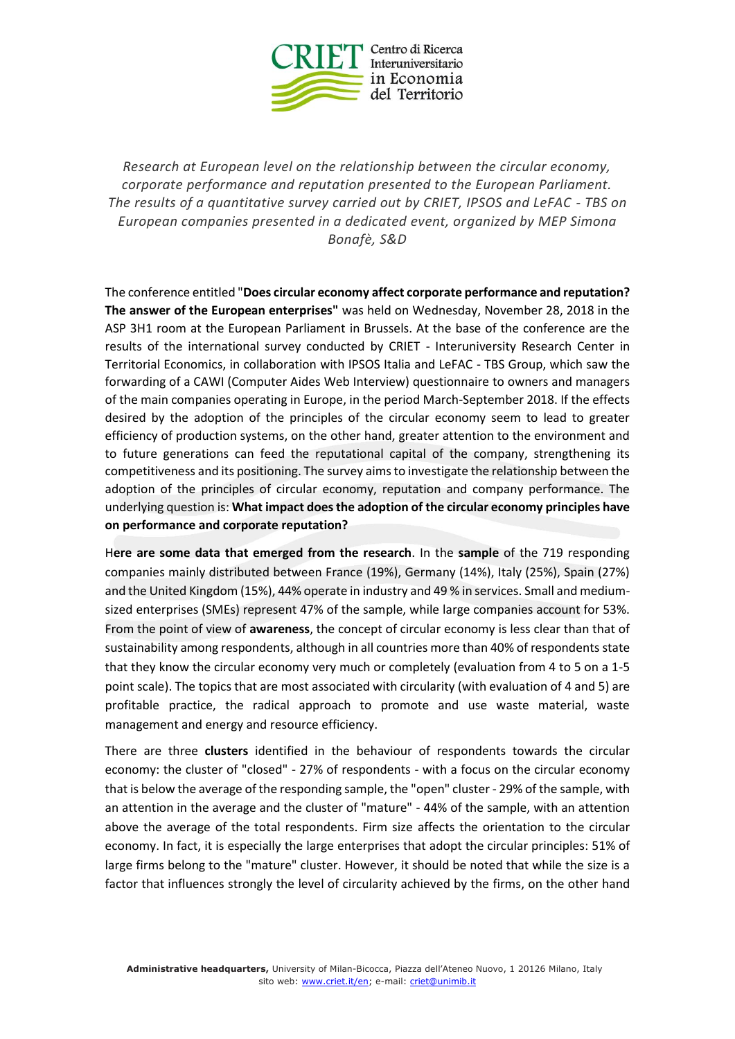

*Research at European level on the relationship between the circular economy, corporate performance and reputation presented to the European Parliament. The results of a quantitative survey carried out by CRIET, IPSOS and LeFAC - TBS on European companies presented in a dedicated event, organized by MEP Simona Bonafè, S&D*

The conference entitled "**Does circular economy affect corporate performance and reputation? The answer of the European enterprises"** was held on Wednesday, November 28, 2018 in the ASP 3H1 room at the European Parliament in Brussels. At the base of the conference are the results of the international survey conducted by CRIET - Interuniversity Research Center in Territorial Economics, in collaboration with IPSOS Italia and LeFAC - TBS Group, which saw the forwarding of a CAWI (Computer Aides Web Interview) questionnaire to owners and managers of the main companies operating in Europe, in the period March-September 2018. If the effects desired by the adoption of the principles of the circular economy seem to lead to greater efficiency of production systems, on the other hand, greater attention to the environment and to future generations can feed the reputational capital of the company, strengthening its competitiveness and its positioning. The survey aims to investigate the relationship between the adoption of the principles of circular economy, reputation and company performance. The underlying question is: **What impact does the adoption of the circular economy principles have on performance and corporate reputation?**

H**ere are some data that emerged from the research**. In the **sample** of the 719 responding companies mainly distributed between France (19%), Germany (14%), Italy (25%), Spain (27%) and the United Kingdom (15%), 44% operate in industry and 49 % in services. Small and mediumsized enterprises (SMEs) represent 47% of the sample, while large companies account for 53%. From the point of view of **awareness**, the concept of circular economy is less clear than that of sustainability among respondents, although in all countries more than 40% of respondents state that they know the circular economy very much or completely (evaluation from 4 to 5 on a 1-5 point scale). The topics that are most associated with circularity (with evaluation of 4 and 5) are profitable practice, the radical approach to promote and use waste material, waste management and energy and resource efficiency.

There are three **clusters** identified in the behaviour of respondents towards the circular economy: the cluster of "closed" - 27% of respondents - with a focus on the circular economy that is below the average of the responding sample, the "open" cluster - 29% of the sample, with an attention in the average and the cluster of "mature" - 44% of the sample, with an attention above the average of the total respondents. Firm size affects the orientation to the circular economy. In fact, it is especially the large enterprises that adopt the circular principles: 51% of large firms belong to the "mature" cluster. However, it should be noted that while the size is a factor that influences strongly the level of circularity achieved by the firms, on the other hand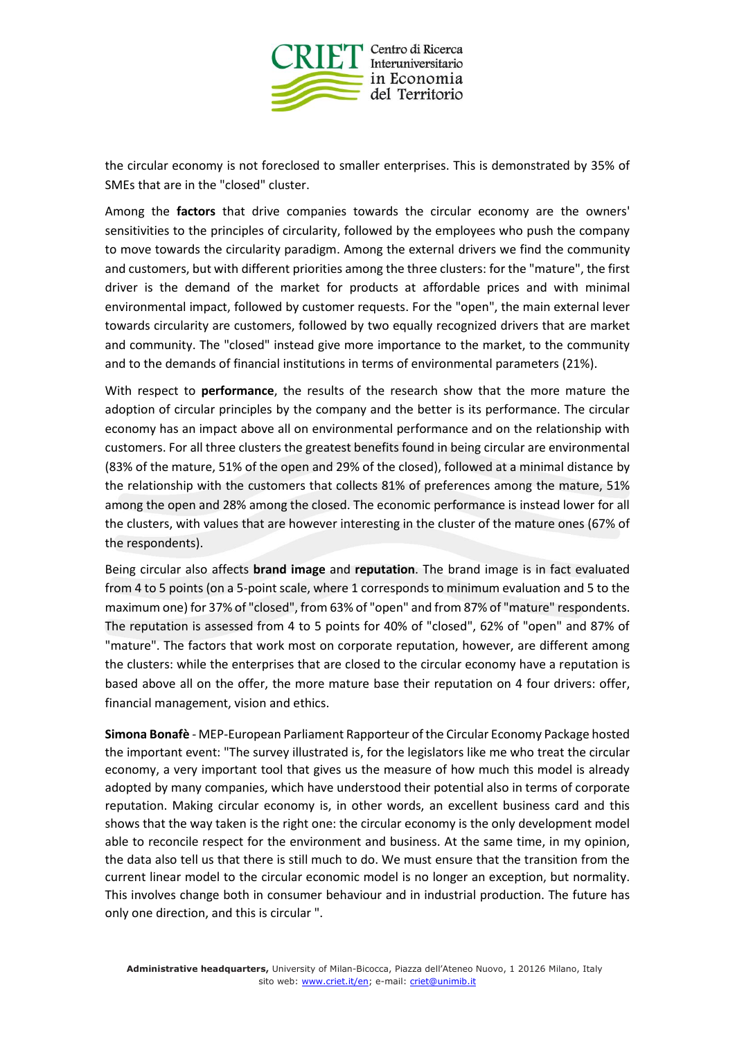

the circular economy is not foreclosed to smaller enterprises. This is demonstrated by 35% of SMEs that are in the "closed" cluster.

Among the **factors** that drive companies towards the circular economy are the owners' sensitivities to the principles of circularity, followed by the employees who push the company to move towards the circularity paradigm. Among the external drivers we find the community and customers, but with different priorities among the three clusters: for the "mature", the first driver is the demand of the market for products at affordable prices and with minimal environmental impact, followed by customer requests. For the "open", the main external lever towards circularity are customers, followed by two equally recognized drivers that are market and community. The "closed" instead give more importance to the market, to the community and to the demands of financial institutions in terms of environmental parameters (21%).

With respect to **performance**, the results of the research show that the more mature the adoption of circular principles by the company and the better is its performance. The circular economy has an impact above all on environmental performance and on the relationship with customers. For all three clusters the greatest benefits found in being circular are environmental (83% of the mature, 51% of the open and 29% of the closed), followed at a minimal distance by the relationship with the customers that collects 81% of preferences among the mature, 51% among the open and 28% among the closed. The economic performance is instead lower for all the clusters, with values that are however interesting in the cluster of the mature ones (67% of the respondents).

Being circular also affects **brand image** and **reputation**. The brand image is in fact evaluated from 4 to 5 points (on a 5-point scale, where 1 corresponds to minimum evaluation and 5 to the maximum one) for 37% of "closed", from 63% of "open" and from 87% of "mature" respondents. The reputation is assessed from 4 to 5 points for 40% of "closed", 62% of "open" and 87% of "mature". The factors that work most on corporate reputation, however, are different among the clusters: while the enterprises that are closed to the circular economy have a reputation is based above all on the offer, the more mature base their reputation on 4 four drivers: offer, financial management, vision and ethics.

**Simona Bonafè** - MEP-European Parliament Rapporteur of the Circular Economy Package hosted the important event: "The survey illustrated is, for the legislators like me who treat the circular economy, a very important tool that gives us the measure of how much this model is already adopted by many companies, which have understood their potential also in terms of corporate reputation. Making circular economy is, in other words, an excellent business card and this shows that the way taken is the right one: the circular economy is the only development model able to reconcile respect for the environment and business. At the same time, in my opinion, the data also tell us that there is still much to do. We must ensure that the transition from the current linear model to the circular economic model is no longer an exception, but normality. This involves change both in consumer behaviour and in industrial production. The future has only one direction, and this is circular ".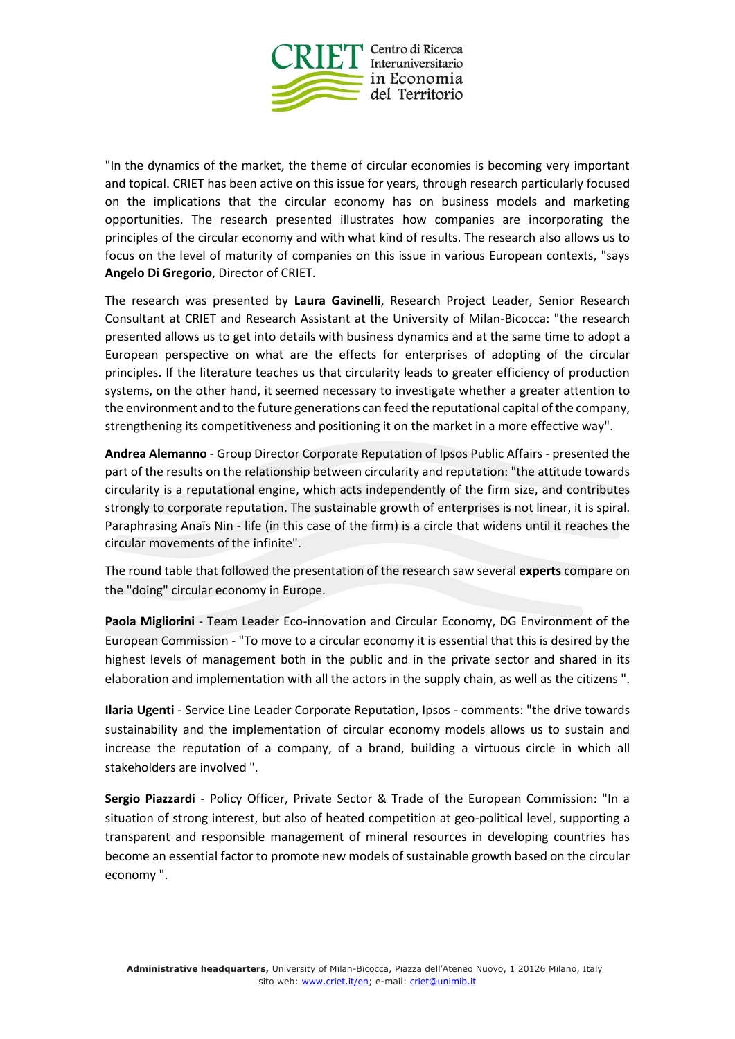

"In the dynamics of the market, the theme of circular economies is becoming very important and topical. CRIET has been active on this issue for years, through research particularly focused on the implications that the circular economy has on business models and marketing opportunities. The research presented illustrates how companies are incorporating the principles of the circular economy and with what kind of results. The research also allows us to focus on the level of maturity of companies on this issue in various European contexts, "says **Angelo Di Gregorio**, Director of CRIET.

The research was presented by **Laura Gavinelli**, Research Project Leader, Senior Research Consultant at CRIET and Research Assistant at the University of Milan-Bicocca: "the research presented allows us to get into details with business dynamics and at the same time to adopt a European perspective on what are the effects for enterprises of adopting of the circular principles. If the literature teaches us that circularity leads to greater efficiency of production systems, on the other hand, it seemed necessary to investigate whether a greater attention to the environment and to the future generations can feed the reputational capital of the company, strengthening its competitiveness and positioning it on the market in a more effective way".

**Andrea Alemanno** - Group Director Corporate Reputation of Ipsos Public Affairs - presented the part of the results on the relationship between circularity and reputation: "the attitude towards circularity is a reputational engine, which acts independently of the firm size, and contributes strongly to corporate reputation. The sustainable growth of enterprises is not linear, it is spiral. Paraphrasing Anaïs Nin - life (in this case of the firm) is a circle that widens until it reaches the circular movements of the infinite".

The round table that followed the presentation of the research saw several **experts** compare on the "doing" circular economy in Europe.

**Paola Migliorini** - Team Leader Eco-innovation and Circular Economy, DG Environment of the European Commission - "To move to a circular economy it is essential that this is desired by the highest levels of management both in the public and in the private sector and shared in its elaboration and implementation with all the actors in the supply chain, as well as the citizens ".

**Ilaria Ugenti** - Service Line Leader Corporate Reputation, Ipsos - comments: "the drive towards sustainability and the implementation of circular economy models allows us to sustain and increase the reputation of a company, of a brand, building a virtuous circle in which all stakeholders are involved ".

**Sergio Piazzardi** - Policy Officer, Private Sector & Trade of the European Commission: "In a situation of strong interest, but also of heated competition at geo-political level, supporting a transparent and responsible management of mineral resources in developing countries has become an essential factor to promote new models of sustainable growth based on the circular economy ".